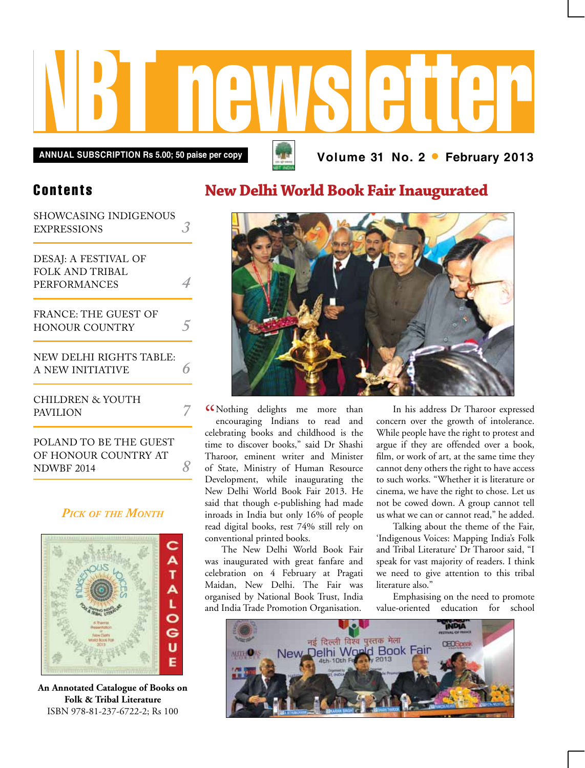

**Contents** 

| SHOWCASING INDIGENOUS       |  |
|-----------------------------|--|
| <b>EXPRESSIONS</b>          |  |
| DESAJ: A FESTIVAL OF        |  |
| FOLK AND TRIBAL             |  |
| PERFORMANCES                |  |
| <b>FRANCE: THE GUEST OF</b> |  |
| <b>HONOUR COUNTRY</b>       |  |
| NEW DELHI RIGHTS TABLE:     |  |
| A NEW INITIATIVE            |  |
| <b>CHILDREN &amp; YOUTH</b> |  |
| <b>PAVILION</b>             |  |
| POLAND TO BE THE GUEST      |  |

of Honour Country at NDWBF 2014 *8*

#### *Pick of the Month*



**An Annotated Catalogue of Books on Folk & Tribal Literature** ISBN 978-81-237-6722-2; Rs 100

# **New Delhi World Book Fair Inaugurated**



" Nothing delights me more than encouraging Indians to read and celebrating books and childhood is the time to discover books," said Dr Shashi Tharoor, eminent writer and Minister of State, Ministry of Human Resource Development, while inaugurating the New Delhi World Book Fair 2013. He said that though e-publishing had made inroads in India but only 16% of people read digital books, rest 74% still rely on conventional printed books.

The New Delhi World Book Fair was inaugurated with great fanfare and celebration on 4 February at Pragati Maidan, New Delhi. The Fair was organised by National Book Trust, India and India Trade Promotion Organisation.

In his address Dr Tharoor expressed concern over the growth of intolerance. While people have the right to protest and argue if they are offended over a book, film, or work of art, at the same time they cannot deny others the right to have access to such works. "Whether it is literature or cinema, we have the right to chose. Let us not be cowed down. A group cannot tell us what we can or cannot read," he added.

Talking about the theme of the Fair, 'Indigenous Voices: Mapping India's Folk and Tribal Literature' Dr Tharoor said, "I speak for vast majority of readers. I think we need to give attention to this tribal literature also."

Emphasising on the need to promote value-oriented education for school

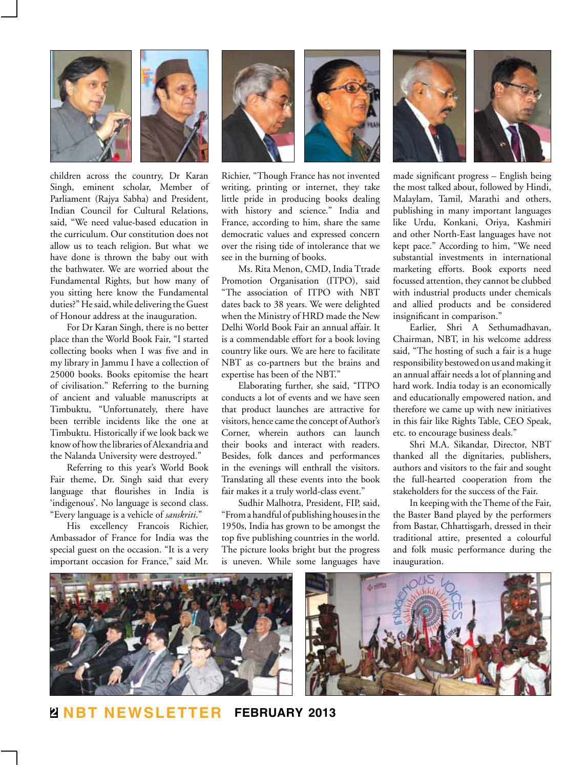

children across the country, Dr Karan Singh, eminent scholar, Member of Parliament (Rajya Sabha) and President, Indian Council for Cultural Relations, said, "We need value-based education in the curriculum. Our constitution does not allow us to teach religion. But what we have done is thrown the baby out with the bathwater. We are worried about the Fundamental Rights, but how many of you sitting here know the Fundamental duties?" He said, while delivering the Guest of Honour address at the inauguration.

For Dr Karan Singh, there is no better place than the World Book Fair, "I started collecting books when I was five and in my library in Jammu I have a collection of 25000 books. Books epitomise the heart of civilisation." Referring to the burning of ancient and valuable manuscripts at Timbuktu, "Unfortunately, there have been terrible incidents like the one at Timbuktu. Historically if we look back we know of how the libraries of Alexandria and the Nalanda University were destroyed."

Referring to this year's World Book Fair theme, Dr. Singh said that every language that flourishes in India is 'indigenous'. No language is second class. "Every language is a vehicle of *sanskriti*."

His excellency Francois Richier, Ambassador of France for India was the special guest on the occasion. "It is a very important occasion for France," said Mr.



Richier, "Though France has not invented writing, printing or internet, they take little pride in producing books dealing with history and science." India and France, according to him, share the same democratic values and expressed concern

see in the burning of books. Ms. Rita Menon, CMD, India Ttrade Promotion Organisation (ITPO), said "The association of ITPO with NBT dates back to 38 years. We were delighted when the Ministry of HRD made the New Delhi World Book Fair an annual affair. It is a commendable effort for a book loving country like ours. We are here to facilitate NBT as co-partners but the brains and expertise has been of the NBT."

over the rising tide of intolerance that we

Elaborating further, she said, "ITPO conducts a lot of events and we have seen that product launches are attractive for visitors, hence came the concept of Author's Corner, wherein authors can launch their books and interact with readers. Besides, folk dances and performances in the evenings will enthrall the visitors. Translating all these events into the book fair makes it a truly world-class event."

Sudhir Malhotra, President, FIP, said, "From a handful of publishing houses in the 1950s, India has grown to be amongst the top five publishing countries in the world. The picture looks bright but the progress is uneven. While some languages have



made significant progress – English being the most talked about, followed by Hindi, Malaylam, Tamil, Marathi and others, publishing in many important languages like Urdu, Konkani, Oriya, Kashmiri and other North-East languages have not kept pace." According to him, "We need substantial investments in international marketing efforts. Book exports need focussed attention, they cannot be clubbed with industrial products under chemicals and allied products and be considered insignificant in comparison."

Earlier, Shri A Sethumadhavan, Chairman, NBT, in his welcome address said, "The hosting of such a fair is a huge responsibility bestowed on us and making it an annual affair needs a lot of planning and hard work. India today is an economically and educationally empowered nation, and therefore we came up with new initiatives in this fair like Rights Table, CEO Speak, etc. to encourage business deals."

Shri M.A. Sikandar, Director, NBT thanked all the dignitaries, publishers, authors and visitors to the fair and sought the full-hearted cooperation from the stakeholders for the success of the Fair.

In keeping with the Theme of the Fair, the Baster Band played by the performers from Bastar, Chhattisgarh, dressed in their traditional attire, presented a colourful and folk music performance during the inauguration.



**2 NBT Newsletter february 2013**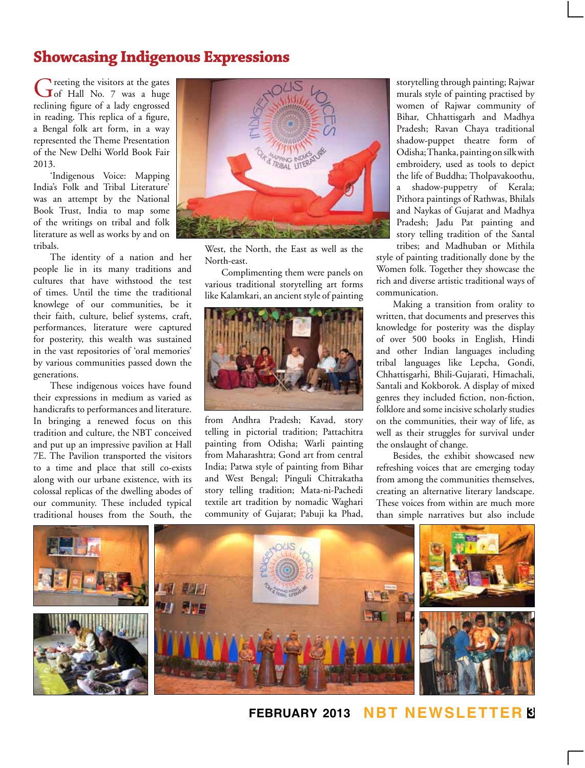## **Showcasing Indigenous Expressions**

Greeting the visitors at the gates<br>
Greet Hall No. 7 was a huge reclining figure of a lady engrossed in reading. This replica of a figure, a Bengal folk art form, in a way represented the Theme Presentation of the New Delhi World Book Fair 2013.

'Indigenous Voice: Mapping India's Folk and Tribal Literature' was an attempt by the National Book Trust, India to map some of the writings on tribal and folk literature as well as works by and on tribals.

The identity of a nation and her people lie in its many traditions and cultures that have withstood the test of times. Until the time the traditional knowlege of our communities, be it their faith, culture, belief systems, craft, performances, literature were captured for posterity, this wealth was sustained in the vast repositories of 'oral memories' by various communities passed down the generations.

These indigenous voices have found their expressions in medium as varied as handicrafts to performances and literature. In bringing a renewed focus on this tradition and culture, the NBT conceived and put up an impressive pavilion at Hall 7E. The Pavilion transported the visitors to a time and place that still co-exists along with our urbane existence, with its colossal replicas of the dwelling abodes of our community. These included typical traditional houses from the South, the



West, the North, the East as well as the North-east.

Complimenting them were panels on various traditional storytelling art forms like Kalamkari, an ancient style of painting



from Andhra Pradesh; Kavad, story telling in pictorial tradition; Pattachitra painting from Odisha; Warli painting from Maharashtra; Gond art from central India; Patwa style of painting from Bihar and West Bengal; Pinguli Chitrakatha story telling tradition; Mata-ni-Pachedi textile art tradition by nomadic Waghari community of Gujarat; Pabuji ka Phad,

storytelling through painting; Rajwar murals style of painting practised by women of Rajwar community of Bihar, Chhattisgarh and Madhya Pradesh; Ravan Chaya traditional shadow-puppet theatre form of Odisha; Thanka, painting on silk with embroidery, used as tools to depict the life of Buddha; Tholpavakoothu, a shadow-puppetry of Kerala; Pithora paintings of Rathwas, Bhilals and Naykas of Gujarat and Madhya Pradesh; Jadu Pat painting and story telling tradition of the Santal tribes; and Madhuban or Mithila

style of painting traditionally done by the Women folk. Together they showcase the rich and diverse artistic traditional ways of communication.

Making a transition from orality to written, that documents and preserves this knowledge for posterity was the display of over 500 books in English, Hindi and other Indian languages including tribal languages like Lepcha, Gondi, Chhattisgarhi, Bhili-Gujarati, Himachali, Santali and Kokborok. A display of mixed genres they included fiction, non-fiction, folklore and some incisive scholarly studies on the communities, their way of life, as well as their struggles for survival under the onslaught of change.

Besides, the exhibit showcased new refreshing voices that are emerging today from among the communities themselves, creating an alternative literary landscape. These voices from within are much more than simple narratives but also include



**february 2013 NBT Newsletter 3**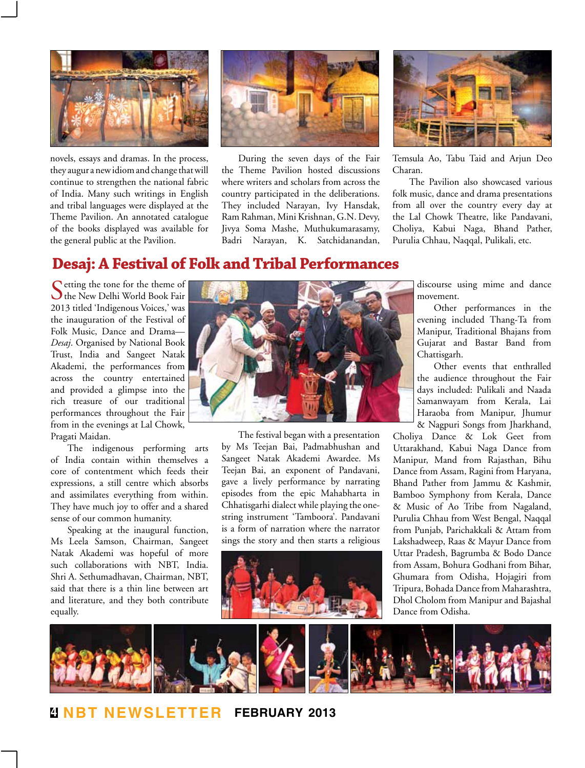

novels, essays and dramas. In the process, they augur a new idiom and change that will continue to strengthen the national fabric of India. Many such writings in English and tribal languages were displayed at the Theme Pavilion. An annotated catalogue of the books displayed was available for the general public at the Pavilion.



During the seven days of the Fair the Theme Pavilion hosted discussions where writers and scholars from across the country participated in the deliberations. They included Narayan, Ivy Hansdak, Ram Rahman, Mini Krishnan, G.N. Devy, Jivya Soma Mashe, Muthukumarasamy, Badri Narayan, K. Satchidanandan,



Temsula Ao, Tabu Taid and Arjun Deo Charan.

The Pavilion also showcased various folk music, dance and drama presentations from all over the country every day at the Lal Chowk Theatre, like Pandavani, Choliya, Kabui Naga, Bhand Pather, Purulia Chhau, Naqqal, Pulikali, etc.

### **Desaj: A Festival of Folk and Tribal Performances**

Cetting the tone for the theme of The New Delhi World Book Fair 2013 titled 'Indigenous Voices,' was the inauguration of the Festival of Folk Music, Dance and Drama— *Desaj*. Organised by National Book Trust, India and Sangeet Natak Akademi, the performances from across the country entertained and provided a glimpse into the rich treasure of our traditional performances throughout the Fair from in the evenings at Lal Chowk, Pragati Maidan.

The indigenous performing arts of India contain within themselves a core of contentment which feeds their expressions, a still centre which absorbs and assimilates everything from within. They have much joy to offer and a shared sense of our common humanity.

Speaking at the inaugural function, Ms Leela Samson, Chairman, Sangeet Natak Akademi was hopeful of more such collaborations with NBT, India. Shri A. Sethumadhavan, Chairman, NBT, said that there is a thin line between art and literature, and they both contribute equally.



The festival began with a presentation by Ms Teejan Bai, Padmabhushan and Sangeet Natak Akademi Awardee. Ms Teejan Bai, an exponent of Pandavani, gave a lively performance by narrating episodes from the epic Mahabharta in Chhatisgarhi dialect while playing the onestring instrument 'Tamboora'. Pandavani is a form of narration where the narrator sings the story and then starts a religious



discourse using mime and dance movement.

Other performances in the evening included Thang-Ta from Manipur, Traditional Bhajans from Gujarat and Bastar Band from Chattisgarh.

Other events that enthralled the audience throughout the Fair days included: Pulikali and Naada Samanwayam from Kerala, Lai Haraoba from Manipur, Jhumur & Nagpuri Songs from Jharkhand,

Choliya Dance & Lok Geet from Uttarakhand, Kabui Naga Dance from Manipur, Mand from Rajasthan, Bihu Dance from Assam, Ragini from Haryana, Bhand Pather from Jammu & Kashmir, Bamboo Symphony from Kerala, Dance & Music of Ao Tribe from Nagaland, Purulia Chhau from West Bengal, Naqqal from Punjab, Parichakkali & Attam from Lakshadweep, Raas & Mayur Dance from Uttar Pradesh, Bagrumba & Bodo Dance from Assam, Bohura Godhani from Bihar, Ghumara from Odisha, Hojagiri from Tripura, Bohada Dance from Maharashtra, Dhol Cholom from Manipur and Bajashal Dance from Odisha.

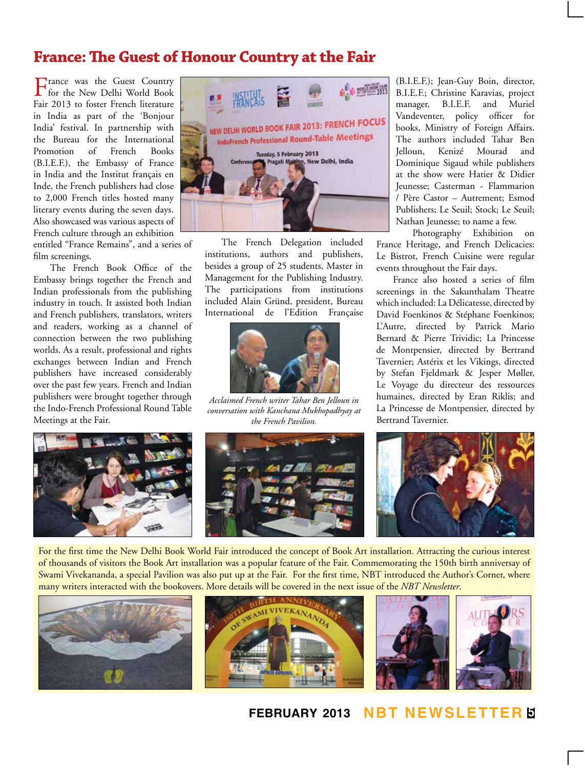## **France: The Guest of Honour Country at the Fair**

France was the Guest Country for the New Delhi World Book Fair 2013 to foster French literature in India as part of the 'Bonjour India' festival. In partnership with the Bureau for the International Promotion of French Books (B.I.E.F.), the Embassy of France in India and the Institut français en Inde, the French publishers had close to 2,000 French titles hosted many literary events during the seven days. Also showcased was various aspects of French culture through an exhibition

entitled "France Remains", and a series of film screenings.

The French Book Office of the Embassy brings together the French and Indian professionals from the publishing industry in touch. It assisted both Indian and French publishers, translators, writers and readers, working as a channel of connection between the two publishing worlds. As a result, professional and rights exchanges between Indian and French publishers have increased considerably over the past few years. French and Indian publishers were brought together through the Indo-French Professional Round Table Meetings at the Fair.



The French Delegation included institutions, authors and publishers, besides a group of 25 students, Master in Management for the Publishing Industry. The participations from institutions included Alain Gründ, president, Bureau International de l'Edition Française



*Acclaimed French writer Tahar Ben Jelloun in conversation with Kanchana Mukhopadhyay at the French Pavilion.* 



(B.I.E.F.); Jean-Guy Boin, director, B.I.E.F.; Christine Karavias, project manager, B.I.E.F. and Muriel Vandeventer, policy officer for books, Ministry of Foreign Affairs. The authors included Tahar Ben Jelloun, Kenizé Mourad and Dominique Sigaud while publishers at the show were Hatier & Didier Jeunesse; Casterman - Flammarion / Père Castor – Autrement; Esmod Publishers; Le Seuil; Stock; Le Seuil; Nathan Jeunesse; to name a few.

Photography Exhibition on France Heritage, and French Delicacies: Le Bistrot, French Cuisine were regular events throughout the Fair days.

France also hosted a series of film screenings in the Sakunthalam Theatre which included: La Délicatesse, directed by David Foenkinos & Stéphane Foenkinos; L'Autre, directed by Patrick Mario Bernard & Pierre Trividic; La Princesse de Montpensier, directed by Bertrand Tavernier; Astérix et les Vikings, directed by Stefan Fjeldmark & Jesper Møller, Le Voyage du directeur des ressources humaines, directed by Eran Riklis; and La Princesse de Montpensier, directed by Bertrand Tavernier.



For the first time the New Delhi Book World Fair introduced the concept of Book Art installation. Attracting the curious interest of thousands of visitors the Book Art installation was a popular feature of the Fair. Commemorating the 150th birth anniversay of Swami Vivekananda, a special Pavilion was also put up at the Fair. For the first time, NBT introduced the Author's Corner, where many writers interacted with the bookovers. More details will be covered in the next issue of the *NBT Newsletter*.



#### **february 2013 NBT Newsletter 5**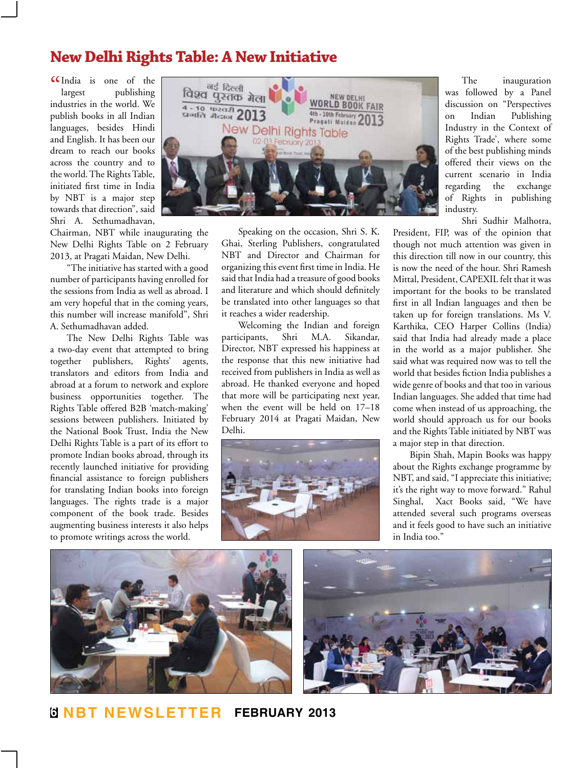## **New Delhi Rights Table: A New Initiative**

" India is one of the largest publishing industries in the world. We publish books in all Indian languages, besides Hindi and English. It has been our dream to reach our books across the country and to the world. The Rights Table, initiated first time in India by NBT is a major step towards that direction", said Shri A. Sethumadhavan,

Chairman, NBT while inaugurating the New Delhi Rights Table on 2 February 2013, at Pragati Maidan, New Delhi.

"The initiative has started with a good number of participants having enrolled for the sessions from India as well as abroad. I am very hopeful that in the coming years, this number will increase manifold", Shri A. Sethumadhavan added.

The New Delhi Rights Table was a two-day event that attempted to bring together publishers, Rights' agents, translators and editors from India and abroad at a forum to network and explore business opportunities together. The Rights Table offered B2B 'match-making' sessions between publishers. Initiated by the National Book Trust, India the New Delhi Rights Table is a part of its effort to promote Indian books abroad, through its recently launched initiative for providing financial assistance to foreign publishers for translating Indian books into foreign languages. The rights trade is a major component of the book trade. Besides augmenting business interests it also helps to promote writings across the world.



Speaking on the occasion, Shri S. K. Ghai, Sterling Publishers, congratulated NBT and Director and Chairman for organizing this event first time in India. He said that India had a treasure of good books and literature and which should definitely be translated into other languages so that it reaches a wider readership.

Welcoming the Indian and foreign participants, Shri M.A. Sikandar, Director, NBT expressed his happiness at the response that this new initiative had received from publishers in India as well as abroad. He thanked everyone and hoped that more will be participating next year, when the event will be held on 17–18 February 2014 at Pragati Maidan, New Delhi.



The inauguration was followed by a Panel discussion on "Perspectives on Indian Publishing Industry in the Context of Rights Trade', where some of the best publishing minds offered their views on the current scenario in India regarding the exchange of Rights in publishing industry.

Shri Sudhir Malhotra,

President, FIP, was of the opinion that though not much attention was given in this direction till now in our country, this is now the need of the hour. Shri Ramesh Mittal, President, CAPEXIL felt that it was important for the books to be translated first in all Indian languages and then be taken up for foreign translations. Ms V. Karthika, CEO Harper Collins (India) said that India had already made a place in the world as a major publisher. She said what was required now was to tell the world that besides fiction India publishes a wide genre of books and that too in various Indian languages. She added that time had come when instead of us approaching, the world should approach us for our books and the Rights Table initiated by NBT was a major step in that direction.

Bipin Shah, Mapin Books was happy about the Rights exchange programme by NBT, and said, "I appreciate this initiative; it's the right way to move forward." Rahul Singhal, Xact Books said, "We have attended several such programs overseas and it feels good to have such an initiative in India too."



**6 NBT Newsletter february 2013**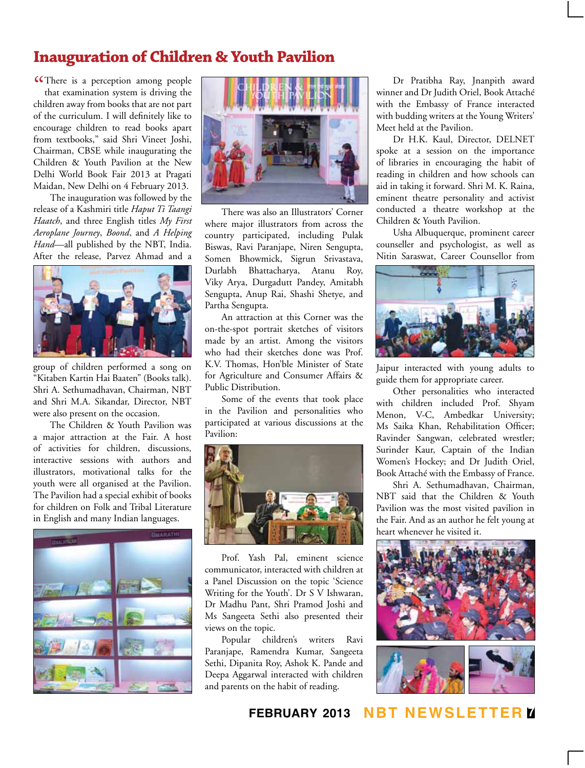# **Inauguration of Children & Youth Pavilion**

**CC**There is a perception among people that examination system is driving the that examination system is driving the children away from books that are not part of the curriculum. I will definitely like to encourage children to read books apart from textbooks," said Shri Vineet Joshi, Chairman, CBSE while inaugurating the Children & Youth Pavilion at the New Delhi World Book Fair 2013 at Pragati Maidan, New Delhi on 4 February 2013.

The inauguration was followed by the release of a Kashmiri title *Haput Ti Taangi Haatch*, and three English titles *My First Aeroplane Journey*, *Boond*, and *A Helping Hand*—all published by the NBT, India. After the release, Parvez Ahmad and a



group of children performed a song on "Kitaben Kartin Hai Baaten" (Books talk). Shri A. Sethumadhavan, Chairman, NBT and Shri M.A. Sikandar, Director, NBT were also present on the occasion.

The Children & Youth Pavilion was a major attraction at the Fair. A host of activities for children, discussions, interactive sessions with authors and illustrators, motivational talks for the youth were all organised at the Pavilion. The Pavilion had a special exhibit of books for children on Folk and Tribal Literature in English and many Indian languages.





There was also an Illustrators' Corner where major illustrators from across the country participated, including Pulak Biswas, Ravi Paranjape, Niren Sengupta, Somen Bhowmick, Sigrun Srivastava, Durlabh Bhattacharya, Atanu Roy, Viky Arya, Durgadutt Pandey, Amitabh Sengupta, Anup Rai, Shashi Shetye, and Partha Sengupta.

An attraction at this Corner was the on-the-spot portrait sketches of visitors made by an artist. Among the visitors who had their sketches done was Prof. K.V. Thomas, Hon'ble Minister of State for Agriculture and Consumer Affairs & Public Distribution.

Some of the events that took place in the Pavilion and personalities who participated at various discussions at the Pavilion:



Prof. Yash Pal, eminent science communicator, interacted with children at a Panel Discussion on the topic 'Science Writing for the Youth'. Dr S V Ishwaran, Dr Madhu Pant, Shri Pramod Joshi and Ms Sangeeta Sethi also presented their views on the topic.

Popular children's writers Ravi Paranjape, Ramendra Kumar, Sangeeta Sethi, Dipanita Roy, Ashok K. Pande and Deepa Aggarwal interacted with children and parents on the habit of reading.

Dr Pratibha Ray, Jnanpith award winner and Dr Judith Oriel, Book Attaché with the Embassy of France interacted with budding writers at the Young Writers' Meet held at the Pavilion.

Dr H.K. Kaul, Director, DELNET spoke at a session on the importance of libraries in encouraging the habit of reading in children and how schools can aid in taking it forward. Shri M. K. Raina, eminent theatre personality and activist conducted a theatre workshop at the Children & Youth Pavilion.

Usha Albuquerque, prominent career counseller and psychologist, as well as Nitin Saraswat, Career Counsellor from



Jaipur interacted with young adults to guide them for appropriate career.

Other personalities who interacted with children included Prof. Shyam Menon, V-C, Ambedkar University; Ms Saika Khan, Rehabilitation Officer; Ravinder Sangwan, celebrated wrestler; Surinder Kaur, Captain of the Indian Women's Hockey; and Dr Judith Oriel, Book Attaché with the Embassy of France.

Shri A. Sethumadhavan, Chairman, NBT said that the Children & Youth Pavilion was the most visited pavilion in the Fair. And as an author he felt young at heart whenever he visited it.



#### **february 2013 NBT Newsletter 7**